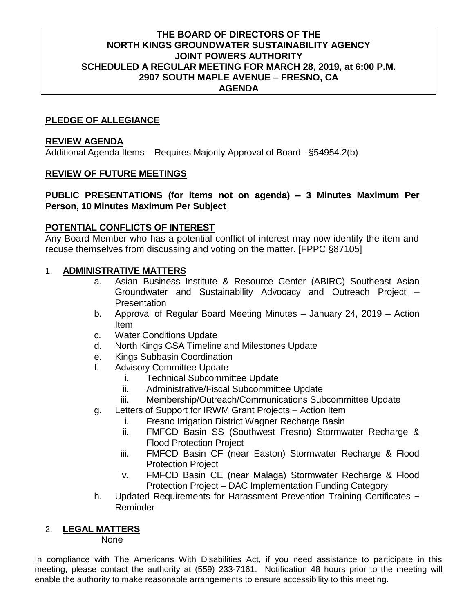#### **THE BOARD OF DIRECTORS OF THE NORTH KINGS GROUNDWATER SUSTAINABILITY AGENCY JOINT POWERS AUTHORITY SCHEDULED A REGULAR MEETING FOR MARCH 28, 2019, at 6:00 P.M. 2907 SOUTH MAPLE AVENUE – FRESNO, CA AGENDA**

# **PLEDGE OF ALLEGIANCE**

#### **REVIEW AGENDA**

Additional Agenda Items – Requires Majority Approval of Board - §54954.2(b)

# **REVIEW OF FUTURE MEETINGS**

#### **PUBLIC PRESENTATIONS (for items not on agenda) – 3 Minutes Maximum Per Person, 10 Minutes Maximum Per Subject**

#### **POTENTIAL CONFLICTS OF INTEREST**

Any Board Member who has a potential conflict of interest may now identify the item and recuse themselves from discussing and voting on the matter. [FPPC §87105]

#### 1. **ADMINISTRATIVE MATTERS**

- a. Asian Business Institute & Resource Center (ABIRC) Southeast Asian Groundwater and Sustainability Advocacy and Outreach Project – **Presentation**
- b. Approval of Regular Board Meeting Minutes January 24, 2019 Action Item
- c. Water Conditions Update
- d. North Kings GSA Timeline and Milestones Update
- e. Kings Subbasin Coordination
- f. Advisory Committee Update
	- i. Technical Subcommittee Update
	- ii. Administrative/Fiscal Subcommittee Update
	- iii. Membership/Outreach/Communications Subcommittee Update
- g. Letters of Support for IRWM Grant Projects Action Item
	- i. Fresno Irrigation District Wagner Recharge Basin
	- ii. FMFCD Basin SS (Southwest Fresno) Stormwater Recharge & Flood Protection Project
	- iii. FMFCD Basin CF (near Easton) Stormwater Recharge & Flood Protection Project
	- iv. FMFCD Basin CE (near Malaga) Stormwater Recharge & Flood Protection Project – DAC Implementation Funding Category
- h. Updated Requirements for Harassment Prevention Training Certificates − Reminder

# 2. **LEGAL MATTERS**

None

In compliance with The Americans With Disabilities Act, if you need assistance to participate in this meeting, please contact the authority at (559) 233-7161. Notification 48 hours prior to the meeting will enable the authority to make reasonable arrangements to ensure accessibility to this meeting.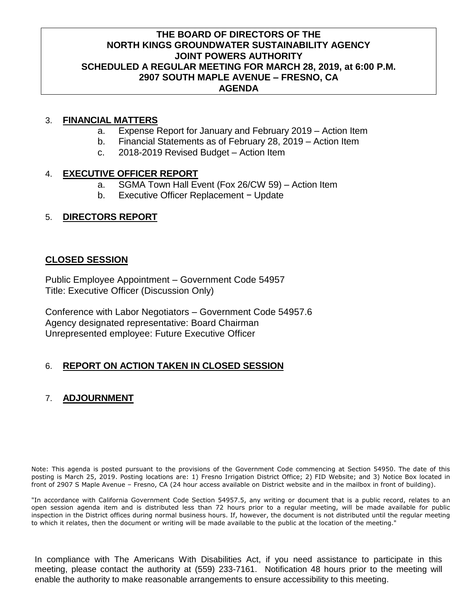#### **THE BOARD OF DIRECTORS OF THE NORTH KINGS GROUNDWATER SUSTAINABILITY AGENCY JOINT POWERS AUTHORITY SCHEDULED A REGULAR MEETING FOR MARCH 28, 2019, at 6:00 P.M. 2907 SOUTH MAPLE AVENUE – FRESNO, CA AGENDA**

# 3. **FINANCIAL MATTERS**

- a. Expense Report for January and February 2019 Action Item
- b. Financial Statements as of February 28, 2019 Action Item
- c. 2018-2019 Revised Budget Action Item

# 4. **EXECUTIVE OFFICER REPORT**

- a. SGMA Town Hall Event (Fox 26/CW 59) Action Item
- b. Executive Officer Replacement − Update

# 5. **DIRECTORS REPORT**

# **CLOSED SESSION**

Public Employee Appointment – Government Code 54957 Title: Executive Officer (Discussion Only)

Conference with Labor Negotiators – Government Code 54957.6 Agency designated representative: Board Chairman Unrepresented employee: Future Executive Officer

# 6. **REPORT ON ACTION TAKEN IN CLOSED SESSION**

# 7. **ADJOURNMENT**

Note: This agenda is posted pursuant to the provisions of the Government Code commencing at Section 54950. The date of this posting is March 25, 2019. Posting locations are: 1) Fresno Irrigation District Office; 2) FID Website; and 3) Notice Box located in front of 2907 S Maple Avenue – Fresno, CA (24 hour access available on District website and in the mailbox in front of building).

"In accordance with California Government Code Section 54957.5, any writing or document that is a public record, relates to an open session agenda item and is distributed less than 72 hours prior to a regular meeting, will be made available for public inspection in the District offices during normal business hours. If, however, the document is not distributed until the regular meeting to which it relates, then the document or writing will be made available to the public at the location of the meeting."

In compliance with The Americans With Disabilities Act, if you need assistance to participate in this meeting, please contact the authority at (559) 233-7161. Notification 48 hours prior to the meeting will enable the authority to make reasonable arrangements to ensure accessibility to this meeting.